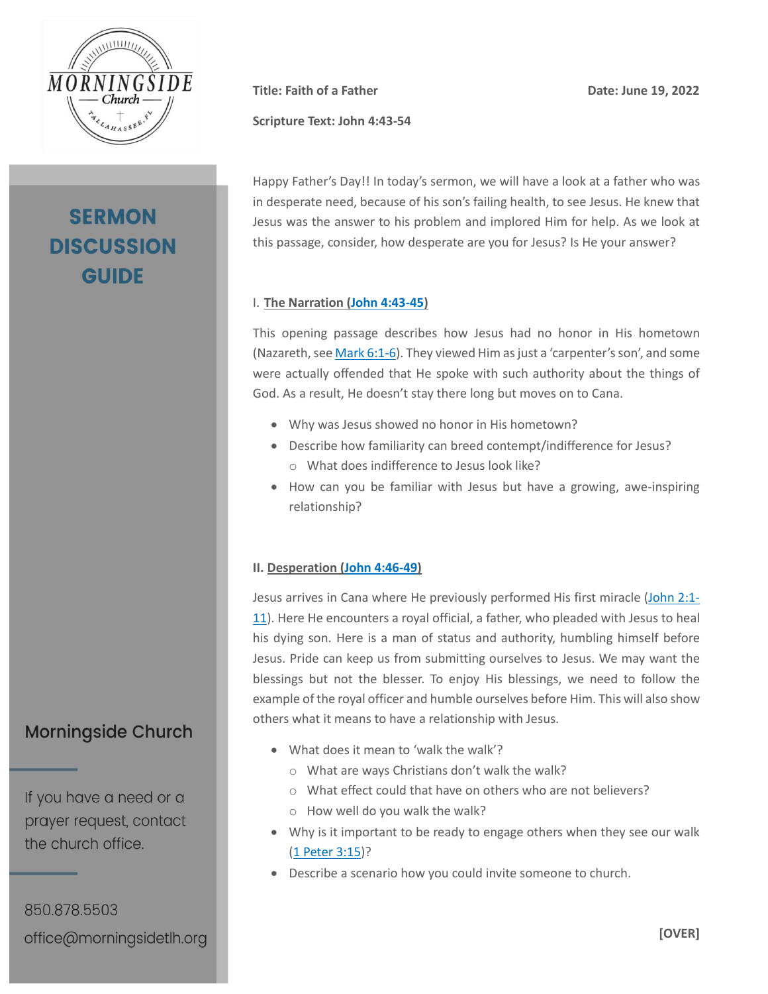

# **SERMON DISCUSSION GUIDE**

**Scripture Text: John 4:43-54**

**Title:** Faith of a Father **Date:** Date: June 19, 2022

Happy Father's Day!! In today's sermon, we will have a look at a father who was in desperate need, because of his son's failing health, to see Jesus. He knew that Jesus was the answer to his problem and implored Him for help. As we look at this passage, consider, how desperate are you for Jesus? Is He your answer?

### I. **The Narration [\(John 4:43-45\)](https://my.bible.com/bible/2692/JHN.4.43-45.nasb2020)**

This opening passage describes how Jesus had no honor in His hometown (Nazareth, se[e Mark 6:1-6\)](https://my.bible.com/bible/2692/MRK.6.1-6.nasb2020). They viewed Him as just a 'carpenter's son', and some were actually offended that He spoke with such authority about the things of God. As a result, He doesn't stay there long but moves on to Cana.

- Why was Jesus showed no honor in His hometown?
- Describe how familiarity can breed contempt/indifference for Jesus? o What does indifference to Jesus look like?
- How can you be familiar with Jesus but have a growing, awe-inspiring relationship?

### **II. Desperation [\(John 4:46-49\)](https://my.bible.com/bible/2692/JHN.4.46-49.nasb2020)**

Jesus arrives in Cana where He previously performed His first miracle [\(John 2:1-](https://my.bible.com/bible/2692/JHN.2.1-11.nasb2020) [11\)](https://my.bible.com/bible/2692/JHN.2.1-11.nasb2020). Here He encounters a royal official, a father, who pleaded with Jesus to heal his dying son. Here is a man of status and authority, humbling himself before Jesus. Pride can keep us from submitting ourselves to Jesus. We may want the blessings but not the blesser. To enjoy His blessings, we need to follow the example of the royal officer and humble ourselves before Him. This will also show others what it means to have a relationship with Jesus.

- What does it mean to 'walk the walk'?
	- o What are ways Christians don't walk the walk?
	- o What effect could that have on others who are not believers?
	- o How well do you walk the walk?
- Why is it important to be ready to engage others when they see our walk [\(1 Peter 3:15\)](https://my.bible.com/bible/2692/1PE.3.15.nasb2020)?
- Describe a scenario how you could invite someone to church.

**Morningside Church** 

If you have a need or a prayer request, contact the church office.

850.878.5503 office@morningsidetlh.org